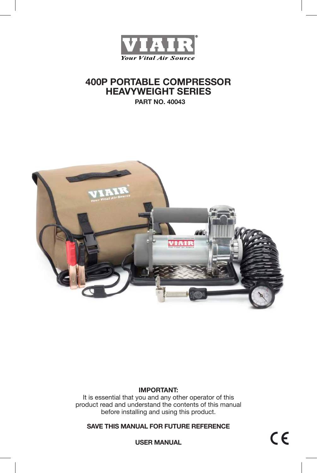

# **400P PORTABLE COMPRESSOR HEAVYWEIGHT SERIES**

**PART NO. 40043**



### **IMPORTANT:**

It is essential that you and any other operator of this product read and understand the contents of this manual before installing and using this product.

**SAVE THIS MANUAL FOR FUTURE REFERENCE**

**USER MANUAL**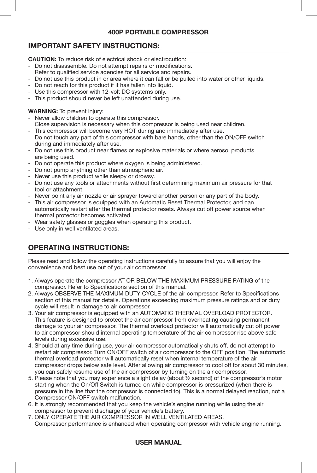## **400P PORTABLE COMPRESSOR**

## **IMPORTANT SAFETY INSTRUCTIONS:**

**CAUTION:** To reduce risk of electrical shock or electrocution:

- Do not disassemble. Do not attempt repairs or modifications.
- Refer to qualified service agencies for all service and repairs.
- Do not use this product in or area where it can fall or be pulled into water or other liquids.
- Do not reach for this product if it has fallen into liquid.
- Use this compressor with 12-volt DC systems only.
- This product should never be left unattended during use.

### **WARNING:** To prevent injury:

- Never allow children to operate this compressor.
- Close supervision is necessary when this compressor is being used near children.
- This compressor will become very HOT during and immediately after use. Do not touch any part of this compressor with bare hands, other than the ON/OFF switch during and immediately after use.
- Do not use this product near flames or explosive materials or where aerosol products are being used.
- Do not operate this product where oxygen is being administered.
- Do not pump anything other than atmospheric air.
- Never use this product while sleepy or drowsy.
- Do not use any tools or attachments without first determining maximum air pressure for that tool or attachment.
- Never point any air nozzle or air sprayer toward another person or any part of the body.
- This air compressor is equipped with an Automatic Reset Thermal Protector, and can automatically restart after the thermal protector resets. Always cut off power source when thermal protector becomes activated.
- Wear safety glasses or goggles when operating this product.
- Use only in well ventilated areas.

## **OPERATING INSTRUCTIONS:**

Please read and follow the operating instructions carefully to assure that you will enjoy the convenience and best use out of your air compressor.

- 1. Always operate the compressor AT OR BELOW THE MAXIMUM PRESSURE RATING of the compressor. Refer to Specifications section of this manual.
- 2. Always OBSERVE THE MAXIMUM DUTY CYCLE of the air compressor. Refer to Specifications section of this manual for details. Operations exceeding maximum pressure ratings and or duty cycle will result in damage to air compressor.
- 3. Your air compressor is equipped with an AUTOMATIC THERMAL OVERLOAD PROTECTOR. This feature is designed to protect the air compressor from overheating causing permanent damage to your air compressor. The thermal overload protector will automatically cut off power to air compressor should internal operating temperature of the air compressor rise above safe levels during excessive use.
- 4. Should at any time during use, your air compressor automatically shuts off, do not attempt to restart air compressor. Turn ON/OFF switch of air compressor to the OFF position. The automatic thermal overload protector will automatically reset when internal temperature of the air compressor drops below safe level. After allowing air compressor to cool off for about 30 minutes, you can safely resume use of the air compressor by turning on the air compressor.
- 5. Please note that you may experience a slight delay (about ½ second) of the compressor's motor starting when the On/Off Switch is turned on while compressor is pressurized (when there is pressure in the line that the compressor is connected to). This is a normal delayed reaction, not a Compressor ON/OFF switch malfunction.
- 6. It is strongly recommended that you keep the vehicle's engine running while using the air compressor to prevent discharge of your vehicle's battery.
- 7. ONLY OPERATE THE AIR COMPRESSOR IN WELL VENTILATED AREAS. Compressor performance is enhanced when operating compressor with vehicle engine running.

## **USER MANUAL**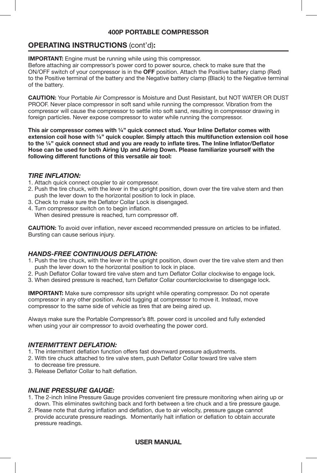## **400P PORTABLE COMPRESSOR**

## **OPERATING INSTRUCTIONS** (cont'd)**:**

**IMPORTANT:** Fngine must be running while using this compressor.

Before attaching air compressor's power cord to power source, check to make sure that the ON/OFF switch of your compressor is in the **OFF** position. Attach the Positive battery clamp (Red) to the Positive terminal of the battery and the Negative battery clamp (Black) to the Negative terminal of the battery.

**CAUTION:** Your Portable Air Compressor is Moisture and Dust Resistant, but NOT WATER OR DUST PROOF. Never place compressor in soft sand while running the compressor. Vibration from the compressor will cause the compressor to settle into soft sand, resulting in compressor drawing in foreign particles. Never expose compressor to water while running the compressor.

**This air compressor comes with ¼" quick connect stud. Your Inline Deflator comes with extension coil hose with ¼" quick coupler. Simply attach this multifunction extension coil hose to the ¼" quick connect stud and you are ready to inflate tires. The Inline Inflator/Deflator Hose can be used for both Airing Up and Airing Down. Please familiarize yourself with the following different functions of this versatile air tool:**

#### *TIRE INFLATION:*

- 1. Attach quick connect coupler to air compressor.
- 2. Push the tire chuck, with the lever in the upright position, down over the tire valve stem and then push the lever down to the horizontal position to lock in place.
- 3. Check to make sure the Deflator Collar Lock is disengaged.
- 4. Turn compressor switch on to begin inflation. When desired pressure is reached, turn compressor off.

**CAUTION:** To avoid over inflation, never exceed recommended pressure on articles to be inflated. Bursting can cause serious injury.

## *HANDS-FREE CONTINUOUS DEFLATION:*

- 1. Push the tire chuck, with the lever in the upright position, down over the tire valve stem and then push the lever down to the horizontal position to lock in place.
- 2. Push Deflator Collar toward tire valve stem and turn Deflator Collar clockwise to engage lock.
- 3. When desired pressure is reached, turn Deflator Collar counterclockwise to disengage lock.

**IMPORTANT:** Make sure compressor sits upright while operating compressor. Do not operate compressor in any other position. Avoid tugging at compressor to move it. Instead, move compressor to the same side of vehicle as tires that are being aired up.

Always make sure the Portable Compressor's 8ft. power cord is uncoiled and fully extended when using your air compressor to avoid overheating the power cord.

#### *INTERMITTENT DEFLATION:*

- 1. The intermittent deflation function offers fast downward pressure adjustments.
- 2. With tire chuck attached to tire valve stem, push Deflator Collar toward tire valve stem to decrease tire pressure.
- 3. Release Deflator Collar to halt deflation.

#### *INLINE PRESSURE GAUGE:*

- 1. The 2-inch Inline Pressure Gauge provides convenient tire pressure monitoring when airing up or down. This eliminates switching back and forth between a tire chuck and a tire pressure gauge.
- 2. Please note that during inflation and deflation, due to air velocity, pressure gauge cannot provide accurate pressure readings. Momentarily halt inflation or deflation to obtain accurate pressure readings.

#### **USER MANUAL**